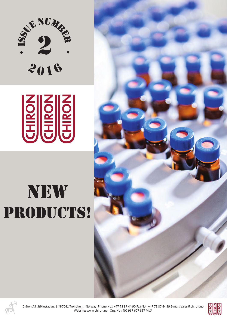



## new PRODUCTS!





Chiron AS Stiklestadvn. 1 N-7041 Trondheim Norway Phone No.: +47 73 87 44 90 Fax No.: +47 73 87 44 99 E-mail: sales@chiron.no Website: www.chiron.no Org. No.: NO 967 607 657 MVA

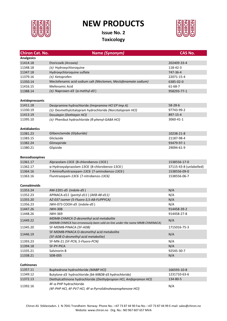

## **NEW PRODUCTS**

**Issue No. 2 Toxicology**



| <b>Chiron Cat. No.</b> | Name (Synonym)                                                                                         | <b>CAS No.</b>          |
|------------------------|--------------------------------------------------------------------------------------------------------|-------------------------|
| <b>Analgesics</b>      |                                                                                                        |                         |
| 11414.18               | Etoricoxib (Arcoxia)                                                                                   | 202409-33-4             |
| 11348.18               | $(\pm)$ - Hydroxychloroquine                                                                           | 118-42-3                |
| 11347.18               | Hydroxychloroquine sulfate                                                                             | 747-36-4                |
| 11379.16               | (±)-Ketoprofen                                                                                         | 22071-15-4              |
| 11350.14               | Meclofenamic acid sodium salt (Meclomen, Meclofenamate sodium)                                         | 6385-02-0               |
| 11416.15               | Mefenamic Acid                                                                                         | 61-68-7                 |
| 11388.14               | $(±)$ - Naproxen-d3 ( $\alpha$ -methyl-d3)                                                             | 958293-77-1             |
|                        |                                                                                                        |                         |
| Antidepressants        |                                                                                                        |                         |
| 11411.18               | Desipramine hydrochloride (Imipramine HCI EP Imp A)                                                    | $58 - 28 - 6$           |
| 11330.19               | (±)- Desmethylcitalopram hydrochloride (Norcitalopram HCl)                                             | 97743-99-2              |
| 11413.19               | Dosulepin (Dothiepin HCl)                                                                              | 897-15-4                |
| 11395.10               | (±)- Phenibut hydrochloride (6-phenyl-GABA HCl)                                                        | 3060-41-1               |
|                        |                                                                                                        |                         |
| <b>Antidiabetics</b>   |                                                                                                        |                         |
| 11381.23               | Glibenclamide (Glyburide)                                                                              | 10238-21-8              |
| 11383.15               | Gliclazide                                                                                             | 21187-98-4              |
| 11382.24               | Glimepiride                                                                                            | 93479-97-1              |
| 11380.21               | Glipizide                                                                                              | 29094-61-9              |
|                        |                                                                                                        |                         |
| <b>Benzodiazepines</b> |                                                                                                        |                         |
| 11361.17               | Alprazolam-13C6 (8-chlorobenzo-13C6)                                                                   | 1538556-17-0            |
| 11362.17               | α-Hydroxyalprazolam-13C6 (8-chlorobenzo-13C6)                                                          | 37115-43-8 (unlabelled) |
| 11364.16               | 7-Aminoflunitrazepam-13C6 (7-aminobenzo-13C6)                                                          | 1538556-09-0            |
| 11363.16               | Flunitrazepam-13C6 (7-nitrobenzo-13C6)                                                                 | 1538556-06-7            |
|                        |                                                                                                        |                         |
| <b>Cannabinoids</b>    |                                                                                                        |                         |
| 11353.24               | AM-2201-d5 (indole-d5)                                                                                 | N/A                     |
| 11352.23               | APINACA-d11 (pentyl-d11) (AKB-48-d11)                                                                  | N/A                     |
| 11355.20               | AZ-037 isomer (5-Fluoro-3,5-AB-FUPPYCA)                                                                | N/A                     |
| 11356.23               | JWH-073 COOH-d5 (indole-d5)                                                                            | N/A                     |
| 11447.26               | <b>JWH-308</b>                                                                                         | 914458-39-2             |
| 11448.26               | JWH-369                                                                                                | 914458-27-8             |
| 11449.22               | MDMB-CHMICA O-desmethyl acid metabolite                                                                | N/A                     |
| 11345.20               | (MDMB-CHMICA has erroneously been sold on-line under the name MMB-CHMINACA)<br>5F-MDMB-PINACA (5F-ADB) | 1715016-75-3            |
|                        | 5F-MDMB-PINACA O-desmethyl acid metabolite                                                             |                         |
| 11446.19               | (5F-ADB O-desmethyl acid metabolite)                                                                   | N/A                     |
| 11393.23               | 5F-MN-21 (5F-PCN, 5-Fluoro-PCN)                                                                        | N/A                     |
| 11394.18               | 5F-PY-PICA                                                                                             | N/A                     |
| 11335.21               | Salvinorin B                                                                                           | 92545-30-7              |
| 11338.21               | SDB-005                                                                                                | N/A                     |
|                        |                                                                                                        |                         |
| <b>Cathinones</b>      |                                                                                                        |                         |
| 11357.11               | Buphedrone hydrochloride (MABP HCI)                                                                    | 166593-10-8             |
| 11349.12               | Butylone-d3 hydrochloride (bk-MBDB-d3 hydrochloride)                                                   | 1231710-63-6            |
| 11372.13               | Diethylcathinone hydrochloride (Diethylpropion HCl, Amfepramon HCl)                                    | 134-80-5                |
|                        | 4F-α-PHP hydrochloride                                                                                 |                         |
| 11392.16               | (4F-PHP HCl, 4F-PV7 HCl, 4F-α-Pyrrolidinohexanophenone HCl)                                            | N/A                     |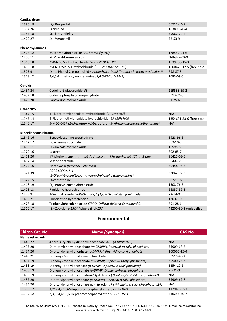| Cardiac drugs               |                                                                              |                          |
|-----------------------------|------------------------------------------------------------------------------|--------------------------|
| 11386.18                    | $(\pm)$ - Bisoprolol                                                         | 66722-44-9               |
| 11384.26                    | Lacidipine                                                                   | 103890-78-4              |
| 11385.18                    | $(±)$ - Nitrendipine                                                         | 39562-70-4               |
| 11420.27                    | $(±)$ - Verapamil                                                            | $52 - 53 - 9$            |
| Phenethylamines             |                                                                              |                          |
| 11427.12                    | 2C-B-fly hydrochloride (2C-bromo-fly HCl)                                    | 178557-21-6              |
| 11400.11                    | MDA 2-aldoxime analog                                                        | 146322-08-9              |
| 11366.18                    | 25B-NBOMe hydrochloride (2C-B-NBOMe HCl)                                     | 1539266-15-3             |
| 11430.18                    | 25I-NBOMe-M1 hydrochloride (2C-I-NBOMe-M1 HCl)                               | 1800475-17-5 (free base) |
| 11325.9                     | (±)-1-Phenyl-2-propanol (Benzylmethylcarbinol (impurity in Meth production)) | 698-87-3                 |
| 11328.12                    | 2,4,5-Trimethoxyamphetamine (2,4,5-TMA, TMA-2)                               | 1083-09-6                |
| Opioids                     |                                                                              |                          |
| 11484.24                    | Codeine-6-glucuronide-d3                                                     | 219533-59-2              |
| 11452.18                    | Codeine phosphate sesquihydrate                                              | 5913-76-8                |
| 11476.20                    | Papaverine hydrochloride                                                     | $61 - 25 - 6$            |
| <b>Other NPS</b>            |                                                                              |                          |
| 11344.15                    | 4-Fluoro ethylphenidate hydrochloride (4F-EPH HCl)                           | N/A                      |
| 11343.14                    | 4-Fluoro methylphenidate hydrochloride (4F-MPH HCl)                          | 1354631-33-6 (free base) |
| 11346.17                    | 5-MEO-DIBF (2-(5-Methoxy-1-benzofuran-3-yl)-N,N-diisopropyllethanamine)      | N/A                      |
| <b>Miscellaneous Pharma</b> |                                                                              |                          |
| 11342.16                    | Benzoylecgonine tetrahydrate                                                 | 5928-96-1                |
| 11412.17                    | Doxylamine succinate                                                         | 562-10-7                 |
| 11415.11                    | Levamisole hydrochloride                                                     | 16595-80-5               |
| 11370.16                    | Lysergol                                                                     | 602-85-7                 |
| 11471.20                    | 17-Methyltestosterone-d3 (4-Androsten-17α-methyl-d3-176-ol-3-one)            | 96425-03-5               |
| 11417.14                    | Metoclopramide                                                               | 364-62-5                 |
| 11422.16                    | Norfloxacin (Baccidal, Sebercim)                                             | 70458-96-7               |
| 11377.39                    | POPE (16:0/18:1)<br>(2-Oleoyl-1-palmitoyl-sn-glycero-3-phosphoethanolamine)  | 26662-94-2               |
| 11327.15                    | Oxcarbazepine                                                                | 28721-07-5               |
| 11418.19                    | (±)- Procyclidine hydrochloride                                              | 1508-76-5                |
| 11423.13                    | Ranitidine hydrochloride                                                     | 66357-59-3               |
| 11425.9                     | 2-Sulphathiazole (Sulfathiazole, N(1)-(2-Thiazolyl)sulfanilamide)            | $72 - 14 - 0$            |
| 11419.21                    | Thioridazine hydrochloride                                                   | 130-61-0                 |
| 11478.18                    | Triphenylphosphine oxide (TPPO, Orlistat Related Compound C)                 | 791-28-6                 |
| 11360.17                    | (±)-Zopiclone-13C4 (piperazinyl-13C4)                                        | 43200-80-2 (unlabelled)  |

## **Environmental**

| <b>Chiron Cat. No.</b>  | Name (Synonym)                                                               | <b>CAS No.</b> |
|-------------------------|------------------------------------------------------------------------------|----------------|
| <b>Flame retardants</b> |                                                                              |                |
| 11440.22                | 4-tert-Butylphenyldiphenyl phosphate-d13 (4-BPDP-d13)                        | N/A            |
| 11433.20                | Di-m-tolylphenyl phosphate (m-DMPPH, Phenyldi-m-tolyl phosphate)             | 34909-68-7     |
| 11434.20                | Di-o-tolylphenyl phophate (o-DMPPH, Phenyldi-o-tolyl phophate)               | 100065-15-4    |
| 11445.21                | Diphenyl-3-isopropylphenyl phosphate                                         | 69515-46-4     |
| 11437.19                | Diphenyl-m-tolyl phosphate (m-DPMP, Diphenyl-3-tolyl phosphate)              | 69500-28-3     |
| 11438.19                | Diphenyl-o-tolyl phoshate (o-DPMP, Diphenyl-2-tolyl phoshate)                | 5254-12-6      |
| 11436.19                | Diphenyl-p-tolyl phosphate (p-DPMP, Diphenyl-4-tolyl phosphate)              | 78-31-9        |
| 11439.19                | Diphenyl-p-tolyl phosphate-d7 (p-tolyl-d7) (Diphenyl-p-tolyl phosphate-d7)   | N/A            |
| 11432.20                | Di-p-tolylphenyl phosphate (p-DMPPH, Phenyldi-p-tolyl phosphate)             | 34909-69-8     |
| 11435.20                | Di-p-tolylphenyl phosphate-d14 (p-tolyl-d7) (Phenyldi-p-tolyl phosphate-d14) | N/A            |
| 11398.12                | 2,2',3,4,4',6,6'-Heptabromodiphenyl ether (PBDE-184)                         | 117948-63-7    |
| 11399.12                | 2,3,3',4,4',5',6-Heptabromodiphenyl ether (PBDE-191)                         | 446255-30-7    |